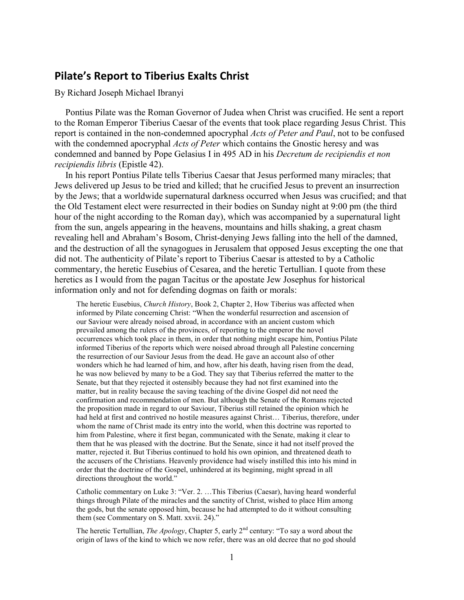## **Pilate's Report to Tiberius Exalts Christ**

## By Richard Joseph Michael Ibranyi

Pontius Pilate was the Roman Governor of Judea when Christ was crucified. He sent a report to the Roman Emperor Tiberius Caesar of the events that took place regarding Jesus Christ. This report is contained in the non-condemned apocryphal *Acts of Peter and Paul*, not to be confused with the condemned apocryphal *Acts of Peter* which contains the Gnostic heresy and was condemned and banned by Pope Gelasius I in 495 AD in his *Decretum de recipiendis et non recipiendis libris* (Epistle 42).

In his report Pontius Pilate tells Tiberius Caesar that Jesus performed many miracles; that Jews delivered up Jesus to be tried and killed; that he crucified Jesus to prevent an insurrection by the Jews; that a worldwide supernatural darkness occurred when Jesus was crucified; and that the Old Testament elect were resurrected in their bodies on Sunday night at 9:00 pm (the third hour of the night according to the Roman day), which was accompanied by a supernatural light from the sun, angels appearing in the heavens, mountains and hills shaking, a great chasm revealing hell and Abraham's Bosom, Christ-denying Jews falling into the hell of the damned, and the destruction of all the synagogues in Jerusalem that opposed Jesus excepting the one that did not. The authenticity of Pilate's report to Tiberius Caesar is attested to by a Catholic commentary, the heretic Eusebius of Cesarea, and the heretic Tertullian. I quote from these heretics as I would from the pagan Tacitus or the apostate Jew Josephus for historical information only and not for defending dogmas on faith or morals:

The heretic Eusebius, *Church History*, Book 2, Chapter 2, How Tiberius was affected when informed by Pilate concerning Christ: "When the wonderful resurrection and ascension of our Saviour were already noised abroad, in accordance with an ancient custom which prevailed among the rulers of the provinces, of reporting to the emperor the novel occurrences which took place in them, in order that nothing might escape him, Pontius Pilate informed Tiberius of the reports which were noised abroad through all Palestine concerning the resurrection of our Saviour Jesus from the dead. He gave an account also of other wonders which he had learned of him, and how, after his death, having risen from the dead, he was now believed by many to be a God. They say that Tiberius referred the matter to the Senate, but that they rejected it ostensibly because they had not first examined into the matter, but in reality because the saving teaching of the divine Gospel did not need the confirmation and recommendation of men. But although the Senate of the Romans rejected the proposition made in regard to our Saviour, Tiberius still retained the opinion which he had held at first and contrived no hostile measures against Christ… Tiberius, therefore, under whom the name of Christ made its entry into the world, when this doctrine was reported to him from Palestine, where it first began, communicated with the Senate, making it clear to them that he was pleased with the doctrine. But the Senate, since it had not itself proved the matter, rejected it. But Tiberius continued to hold his own opinion, and threatened death to the accusers of the Christians. Heavenly providence had wisely instilled this into his mind in order that the doctrine of the Gospel, unhindered at its beginning, might spread in all directions throughout the world."

Catholic commentary on Luke 3: "Ver. 2. …This Tiberius (Caesar), having heard wonderful things through Pilate of the miracles and the sanctity of Christ, wished to place Him among the gods, but the senate opposed him, because he had attempted to do it without consulting them (see Commentary on S. Matt. xxvii. 24)."

The heretic Tertullian, *The Apology*, Chapter 5, early 2<sup>nd</sup> century: "To say a word about the origin of laws of the kind to which we now refer, there was an old decree that no god should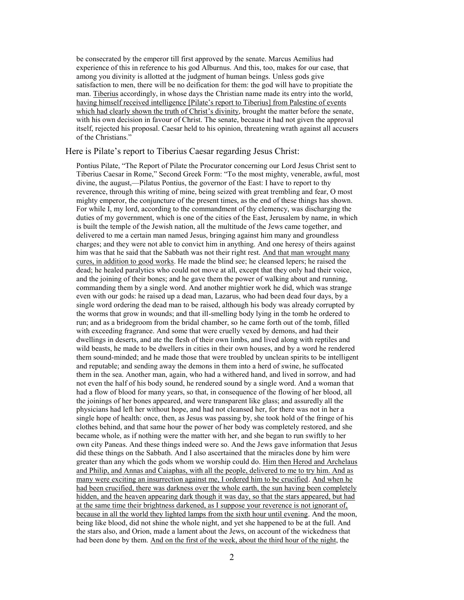be consecrated by the emperor till first approved by the senate. Marcus Aemilius had experience of this in reference to his god Alburnus. And this, too, makes for our case, that among you divinity is allotted at the judgment of human beings. Unless gods give satisfaction to men, there will be no deification for them: the god will have to propitiate the man. Tiberius accordingly, in whose days the Christian name made its entry into the world, having himself received intelligence [Pilate's report to Tiberius] from Palestine of events which had clearly shown the truth of Christ's divinity, brought the matter before the senate, with his own decision in favour of Christ. The senate, because it had not given the approval itself, rejected his proposal. Caesar held to his opinion, threatening wrath against all accusers of the Christians."

## Here is Pilate's report to Tiberius Caesar regarding Jesus Christ:

Pontius Pilate, "The Report of Pilate the Procurator concerning our Lord Jesus Christ sent to Tiberius Caesar in Rome," Second Greek Form: "To the most mighty, venerable, awful, most divine, the august,—Pilatus Pontius, the governor of the East: I have to report to thy reverence, through this writing of mine, being seized with great trembling and fear, O most mighty emperor, the conjuncture of the present times, as the end of these things has shown. For while I, my lord, according to the commandment of thy clemency, was discharging the duties of my government, which is one of the cities of the East, Jerusalem by name, in which is built the temple of the Jewish nation, all the multitude of the Jews came together, and delivered to me a certain man named Jesus, bringing against him many and groundless charges; and they were not able to convict him in anything. And one heresy of theirs against him was that he said that the Sabbath was not their right rest. And that man wrought many cures, in addition to good works. He made the blind see; he cleansed lepers; he raised the dead; he healed paralytics who could not move at all, except that they only had their voice, and the joining of their bones; and he gave them the power of walking about and running, commanding them by a single word. And another mightier work he did, which was strange even with our gods: he raised up a dead man, Lazarus, who had been dead four days, by a single word ordering the dead man to be raised, although his body was already corrupted by the worms that grow in wounds; and that ill-smelling body lying in the tomb he ordered to run; and as a bridegroom from the bridal chamber, so he came forth out of the tomb, filled with exceeding fragrance. And some that were cruelly vexed by demons, and had their dwellings in deserts, and ate the flesh of their own limbs, and lived along with reptiles and wild beasts, he made to be dwellers in cities in their own houses, and by a word he rendered them sound-minded; and he made those that were troubled by unclean spirits to be intelligent and reputable; and sending away the demons in them into a herd of swine, he suffocated them in the sea. Another man, again, who had a withered hand, and lived in sorrow, and had not even the half of his body sound, he rendered sound by a single word. And a woman that had a flow of blood for many years, so that, in consequence of the flowing of her blood, all the joinings of her bones appeared, and were transparent like glass; and assuredly all the physicians had left her without hope, and had not cleansed her, for there was not in her a single hope of health: once, then, as Jesus was passing by, she took hold of the fringe of his clothes behind, and that same hour the power of her body was completely restored, and she became whole, as if nothing were the matter with her, and she began to run swiftly to her own city Paneas. And these things indeed were so. And the Jews gave information that Jesus did these things on the Sabbath. And I also ascertained that the miracles done by him were greater than any which the gods whom we worship could do. Him then Herod and Archelaus and Philip, and Annas and Caiaphas, with all the people, delivered to me to try him. And as many were exciting an insurrection against me, I ordered him to be crucified. And when he had been crucified, there was darkness over the whole earth, the sun having been completely hidden, and the heaven appearing dark though it was day, so that the stars appeared, but had at the same time their brightness darkened, as I suppose your reverence is not ignorant of, because in all the world they lighted lamps from the sixth hour until evening. And the moon, being like blood, did not shine the whole night, and yet she happened to be at the full. And the stars also, and Orion, made a lament about the Jews, on account of the wickedness that had been done by them. And on the first of the week, about the third hour of the night, the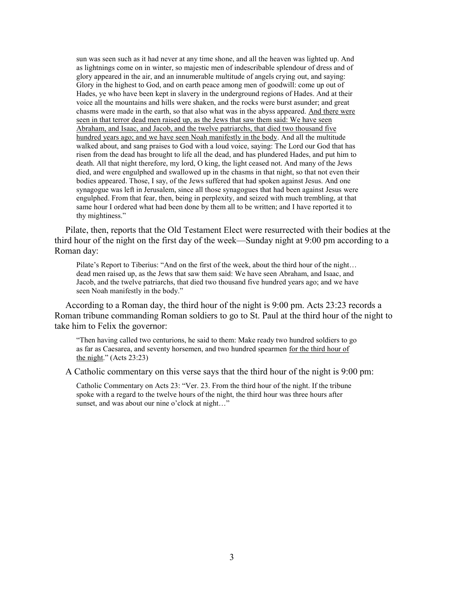sun was seen such as it had never at any time shone, and all the heaven was lighted up. And as lightnings come on in winter, so majestic men of indescribable splendour of dress and of glory appeared in the air, and an innumerable multitude of angels crying out, and saying: Glory in the highest to God, and on earth peace among men of goodwill: come up out of Hades, ye who have been kept in slavery in the underground regions of Hades. And at their voice all the mountains and hills were shaken, and the rocks were burst asunder; and great chasms were made in the earth, so that also what was in the abyss appeared. And there were seen in that terror dead men raised up, as the Jews that saw them said: We have seen Abraham, and Isaac, and Jacob, and the twelve patriarchs, that died two thousand five hundred years ago; and we have seen Noah manifestly in the body. And all the multitude walked about, and sang praises to God with a loud voice, saying: The Lord our God that has risen from the dead has brought to life all the dead, and has plundered Hades, and put him to death. All that night therefore, my lord, O king, the light ceased not. And many of the Jews died, and were engulphed and swallowed up in the chasms in that night, so that not even their bodies appeared. Those, I say, of the Jews suffered that had spoken against Jesus. And one synagogue was left in Jerusalem, since all those synagogues that had been against Jesus were engulphed. From that fear, then, being in perplexity, and seized with much trembling, at that same hour I ordered what had been done by them all to be written; and I have reported it to thy mightiness."

Pilate, then, reports that the Old Testament Elect were resurrected with their bodies at the third hour of the night on the first day of the week—Sunday night at 9:00 pm according to a Roman day:

Pilate's Report to Tiberius: "And on the first of the week, about the third hour of the night… dead men raised up, as the Jews that saw them said: We have seen Abraham, and Isaac, and Jacob, and the twelve patriarchs, that died two thousand five hundred years ago; and we have seen Noah manifestly in the body."

According to a Roman day, the third hour of the night is 9:00 pm. Acts 23:23 records a Roman tribune commanding Roman soldiers to go to St. Paul at the third hour of the night to take him to Felix the governor:

"Then having called two centurions, he said to them: Make ready two hundred soldiers to go as far as Caesarea, and seventy horsemen, and two hundred spearmen for the third hour of the night." (Acts 23:23)

A Catholic commentary on this verse says that the third hour of the night is 9:00 pm:

Catholic Commentary on Acts 23: "Ver. 23. From the third hour of the night. If the tribune spoke with a regard to the twelve hours of the night, the third hour was three hours after sunset, and was about our nine o'clock at night..."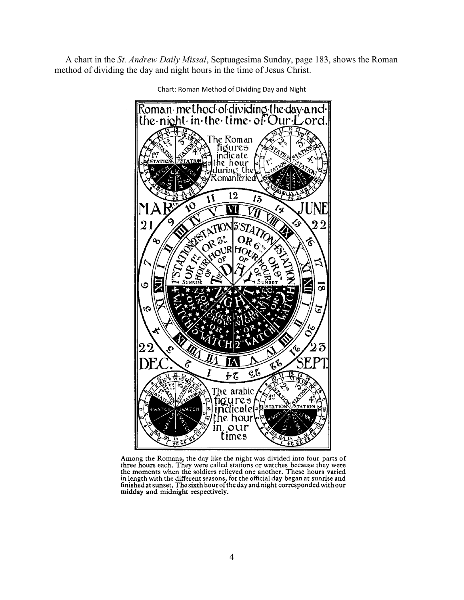A chart in the *St. Andrew Daily Missal*, Septuagesima Sunday, page 183, shows the Roman method of dividing the day and night hours in the time of Jesus Christ.



Chart: Roman Method of Dividing Day and Night

Among the Romans, the day like the night was divided into four parts of<br>three hours each. They were called stations or watches because they were<br>the moments when the soldiers relieved one another. These hours varied<br>in len midday and midnight respectively.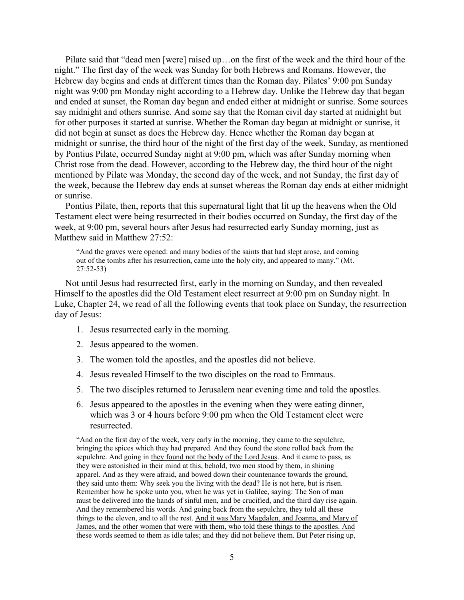Pilate said that "dead men [were] raised up…on the first of the week and the third hour of the night." The first day of the week was Sunday for both Hebrews and Romans. However, the Hebrew day begins and ends at different times than the Roman day. Pilates' 9:00 pm Sunday night was 9:00 pm Monday night according to a Hebrew day. Unlike the Hebrew day that began and ended at sunset, the Roman day began and ended either at midnight or sunrise. Some sources say midnight and others sunrise. And some say that the Roman civil day started at midnight but for other purposes it started at sunrise. Whether the Roman day began at midnight or sunrise, it did not begin at sunset as does the Hebrew day. Hence whether the Roman day began at midnight or sunrise, the third hour of the night of the first day of the week, Sunday, as mentioned by Pontius Pilate, occurred Sunday night at 9:00 pm, which was after Sunday morning when Christ rose from the dead. However, according to the Hebrew day, the third hour of the night mentioned by Pilate was Monday, the second day of the week, and not Sunday, the first day of the week, because the Hebrew day ends at sunset whereas the Roman day ends at either midnight or sunrise.

Pontius Pilate, then, reports that this supernatural light that lit up the heavens when the Old Testament elect were being resurrected in their bodies occurred on Sunday, the first day of the week, at 9:00 pm, several hours after Jesus had resurrected early Sunday morning, just as Matthew said in Matthew 27:52:

"And the graves were opened: and many bodies of the saints that had slept arose, and coming out of the tombs after his resurrection, came into the holy city, and appeared to many." (Mt. 27:52-53)

Not until Jesus had resurrected first, early in the morning on Sunday, and then revealed Himself to the apostles did the Old Testament elect resurrect at 9:00 pm on Sunday night. In Luke, Chapter 24, we read of all the following events that took place on Sunday, the resurrection day of Jesus:

- 1. Jesus resurrected early in the morning.
- 2. Jesus appeared to the women.
- 3. The women told the apostles, and the apostles did not believe.
- 4. Jesus revealed Himself to the two disciples on the road to Emmaus.
- 5. The two disciples returned to Jerusalem near evening time and told the apostles.
- 6. Jesus appeared to the apostles in the evening when they were eating dinner, which was 3 or 4 hours before 9:00 pm when the Old Testament elect were resurrected.

"And on the first day of the week, very early in the morning, they came to the sepulchre, bringing the spices which they had prepared. And they found the stone rolled back from the sepulchre. And going in they found not the body of the Lord Jesus. And it came to pass, as they were astonished in their mind at this, behold, two men stood by them, in shining apparel. And as they were afraid, and bowed down their countenance towards the ground, they said unto them: Why seek you the living with the dead? He is not here, but is risen. Remember how he spoke unto you, when he was yet in Galilee, saying: The Son of man must be delivered into the hands of sinful men, and be crucified, and the third day rise again. And they remembered his words. And going back from the sepulchre, they told all these things to the eleven, and to all the rest. And it was Mary Magdalen, and Joanna, and Mary of James, and the other women that were with them, who told these things to the apostles. And these words seemed to them as idle tales; and they did not believe them. But Peter rising up,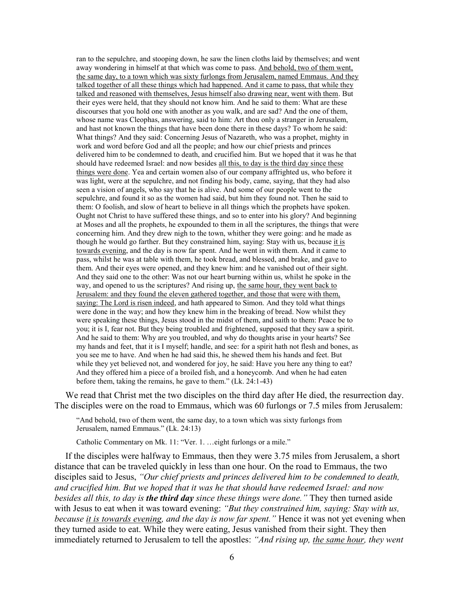ran to the sepulchre, and stooping down, he saw the linen cloths laid by themselves; and went away wondering in himself at that which was come to pass. And behold, two of them went, the same day, to a town which was sixty furlongs from Jerusalem, named Emmaus. And they talked together of all these things which had happened. And it came to pass, that while they talked and reasoned with themselves, Jesus himself also drawing near, went with them. But their eyes were held, that they should not know him. And he said to them: What are these discourses that you hold one with another as you walk, and are sad? And the one of them, whose name was Cleophas, answering, said to him: Art thou only a stranger in Jerusalem, and hast not known the things that have been done there in these days? To whom he said: What things? And they said: Concerning Jesus of Nazareth, who was a prophet, mighty in work and word before God and all the people; and how our chief priests and princes delivered him to be condemned to death, and crucified him. But we hoped that it was he that should have redeemed Israel: and now besides all this, to day is the third day since these things were done. Yea and certain women also of our company affrighted us, who before it was light, were at the sepulchre, and not finding his body, came, saying, that they had also seen a vision of angels, who say that he is alive. And some of our people went to the sepulchre, and found it so as the women had said, but him they found not. Then he said to them: O foolish, and slow of heart to believe in all things which the prophets have spoken. Ought not Christ to have suffered these things, and so to enter into his glory? And beginning at Moses and all the prophets, he expounded to them in all the scriptures, the things that were concerning him. And they drew nigh to the town, whither they were going: and he made as though he would go farther. But they constrained him, saying: Stay with us, because it is towards evening, and the day is now far spent. And he went in with them. And it came to pass, whilst he was at table with them, he took bread, and blessed, and brake, and gave to them. And their eyes were opened, and they knew him: and he vanished out of their sight. And they said one to the other: Was not our heart burning within us, whilst he spoke in the way, and opened to us the scriptures? And rising up, the same hour, they went back to Jerusalem: and they found the eleven gathered together, and those that were with them, saying: The Lord is risen indeed, and hath appeared to Simon. And they told what things were done in the way; and how they knew him in the breaking of bread. Now whilst they were speaking these things, Jesus stood in the midst of them, and saith to them: Peace be to you; it is I, fear not. But they being troubled and frightened, supposed that they saw a spirit. And he said to them: Why are you troubled, and why do thoughts arise in your hearts? See my hands and feet, that it is I myself; handle, and see: for a spirit hath not flesh and bones, as you see me to have. And when he had said this, he shewed them his hands and feet. But while they yet believed not, and wondered for joy, he said: Have you here any thing to eat? And they offered him a piece of a broiled fish, and a honeycomb. And when he had eaten before them, taking the remains, he gave to them." (Lk. 24:1-43)

We read that Christ met the two disciples on the third day after He died, the resurrection day. The disciples were on the road to Emmaus, which was 60 furlongs or 7.5 miles from Jerusalem:

"And behold, two of them went, the same day, to a town which was sixty furlongs from Jerusalem, named Emmaus." (Lk. 24:13)

Catholic Commentary on Mk. 11: "Ver. 1. …eight furlongs or a mile."

If the disciples were halfway to Emmaus, then they were 3.75 miles from Jerusalem, a short distance that can be traveled quickly in less than one hour. On the road to Emmaus, the two disciples said to Jesus, *"Our chief priests and princes delivered him to be condemned to death, and crucified him. But we hoped that it was he that should have redeemed Israel: and now besides all this, to day is the third day since these things were done."* They then turned aside with Jesus to eat when it was toward evening: "But they constrained him, saying: Stay with us, *because it is towards evening, and the day is now far spent."* Hence it was not yet evening when they turned aside to eat. While they were eating, Jesus vanished from their sight. They then immediately returned to Jerusalem to tell the apostles: *"And rising up, the same hour, they went*